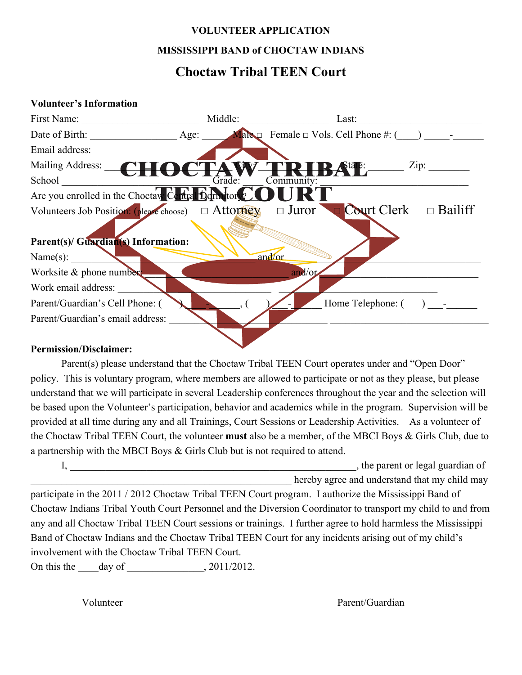## **VOLUNTEER APPLICATION**

#### **MISSISSIPPI BAND of CHOCTAW INDIANS**

## **Choctaw Tribal TEEN Court**

#### **Volunteer's Information**



#### **Permission/Disclaimer:**

Parent(s) please understand that the Choctaw Tribal TEEN Court operates under and "Open Door" policy. This is voluntary program, where members are allowed to participate or not as they please, but please understand that we will participate in several Leadership conferences throughout the year and the selection will be based upon the Volunteer's participation, behavior and academics while in the program. Supervision will be provided at all time during any and all Trainings, Court Sessions or Leadership Activities. As a volunteer of the Choctaw Tribal TEEN Court, the volunteer **must** also be a member, of the MBCI Boys & Girls Club, due to a partnership with the MBCI Boys & Girls Club but is not required to attend.

I, the parent or legal guardian of hereby agree and understand that my child may

participate in the 2011 / 2012 Choctaw Tribal TEEN Court program. I authorize the Mississippi Band of Choctaw Indians Tribal Youth Court Personnel and the Diversion Coordinator to transport my child to and from any and all Choctaw Tribal TEEN Court sessions or trainings. I further agree to hold harmless the Mississippi Band of Choctaw Indians and the Choctaw Tribal TEEN Court for any incidents arising out of my child's involvement with the Choctaw Tribal TEEN Court.

 $\mathcal{L}_\text{max}$  and the contract of the contract of the contract of the contract of the contract of the contract of

On this the \_\_\_\_day of \_\_\_\_\_\_\_\_\_\_\_\_\_\_\_, 2011/2012.

Volunteer Parent/Guardian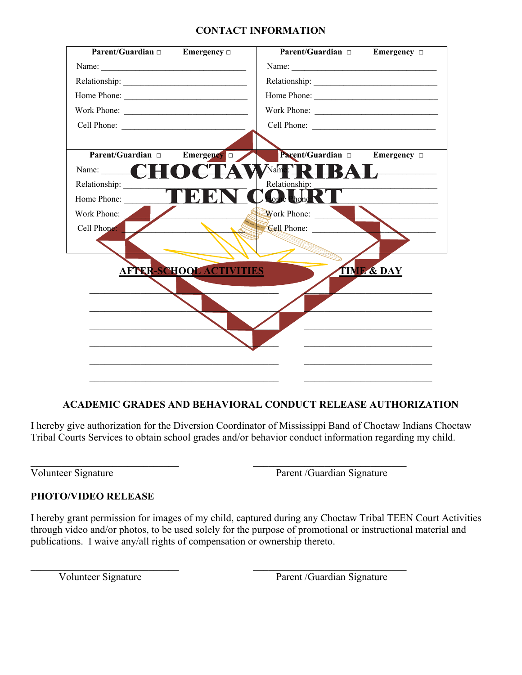#### **CONTACT INFORMATION**

| $\overline{\text{Parent/Guardian}}$ Emergency $\Box$ |                                | Parent/Guardian = Emergency =       |                       |
|------------------------------------------------------|--------------------------------|-------------------------------------|-----------------------|
|                                                      |                                | Name:                               |                       |
|                                                      |                                |                                     |                       |
|                                                      |                                |                                     |                       |
| Work Phone:                                          |                                |                                     |                       |
| Cell Phone:                                          |                                |                                     |                       |
|                                                      |                                |                                     |                       |
| Parent/Guardian $\Box$                               | Emergency $\Box$               | Parent/Guardian                     | Emergency $\Box$      |
| Name: $\qquad \qquad \qquad$                         |                                | $\sqrt{\text{Name: } \blacksquare}$ |                       |
| Relationship:                                        |                                | Relationship:                       |                       |
| Home Phone:                                          |                                | <b>Loude</b> Phone                  |                       |
| Work Phone:                                          |                                | Work Phone:                         |                       |
| Cell Phone:                                          |                                | <b>Cell Phone:</b>                  |                       |
|                                                      |                                |                                     |                       |
|                                                      |                                |                                     |                       |
|                                                      | <b>AFTER-SCHOOL ACTIVITIES</b> |                                     | <b>TIME &amp; DAY</b> |
|                                                      |                                |                                     |                       |
|                                                      |                                |                                     |                       |
|                                                      |                                |                                     |                       |
|                                                      |                                |                                     |                       |
|                                                      |                                |                                     |                       |
|                                                      |                                |                                     |                       |
|                                                      |                                |                                     |                       |

#### **ACADEMIC GRADES AND BEHAVIORAL CONDUCT RELEASE AUTHORIZATION**

I hereby give authorization for the Diversion Coordinator of Mississippi Band of Choctaw Indians Choctaw Tribal Courts Services to obtain school grades and/or behavior conduct information regarding my child.

 $\_$  , and the contribution of the contribution of  $\overline{\mathcal{L}}$  , and  $\overline{\mathcal{L}}$  , and  $\overline{\mathcal{L}}$  , and  $\overline{\mathcal{L}}$ 

 $\mathcal{L}_\text{max}$  , and the contribution of the contribution of the contribution of the contribution of the contribution of the contribution of the contribution of the contribution of the contribution of the contribution of t

Volunteer Signature Parent /Guardian Signature

#### **PHOTO/VIDEO RELEASE**

I hereby grant permission for images of my child, captured during any Choctaw Tribal TEEN Court Activities through video and/or photos, to be used solely for the purpose of promotional or instructional material and publications. I waive any/all rights of compensation or ownership thereto.

Volunteer Signature Parent /Guardian Signature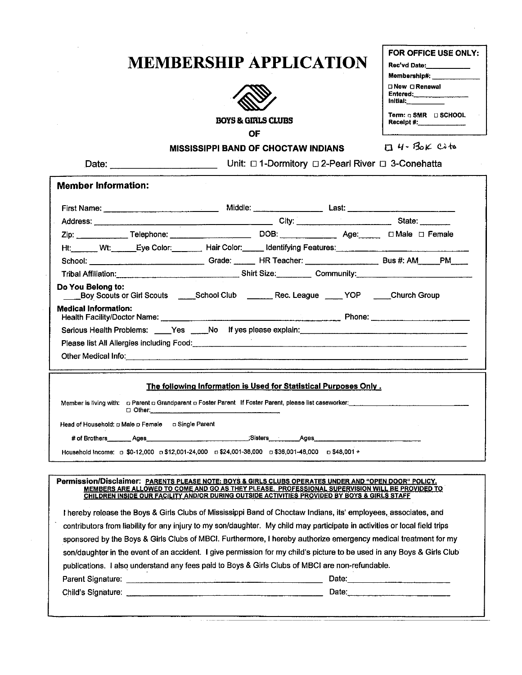## **MEMBERSHIP APPLICATION**



OF

Date: \_\_\_\_\_\_\_\_\_\_

| FOR OFFICE USE ONLY: |                                        |
|----------------------|----------------------------------------|
|                      | Rec'vd Date:                           |
|                      | Membership#: __                        |
| Initial:             | □ New □ Renewal<br>Entered:___________ |
|                      | Term: o SMR □ SCHOOL<br>Receipt #:     |
|                      | $4 - B_0 \kappa$ $C_1$ to              |

#### **MISSISSIPPI BAND OF CHOCTAW INDIANS**

Unit: 01-Dormitory 02-Pearl River 03-Conehatta

| <b>Member Information:</b>  |                                                                                                   |                                                                  |  |                                                                                                                                                                                                                                      |
|-----------------------------|---------------------------------------------------------------------------------------------------|------------------------------------------------------------------|--|--------------------------------------------------------------------------------------------------------------------------------------------------------------------------------------------------------------------------------------|
|                             |                                                                                                   |                                                                  |  |                                                                                                                                                                                                                                      |
|                             |                                                                                                   |                                                                  |  | Address: State: State: State: State: State: State: State: State: State: State: State: State: State: State: State: State: State: State: State: State: State: State: State: State: State: State: State: State: State: State: Sta       |
|                             |                                                                                                   |                                                                  |  |                                                                                                                                                                                                                                      |
|                             |                                                                                                   |                                                                  |  |                                                                                                                                                                                                                                      |
|                             |                                                                                                   |                                                                  |  | School: Calculation Crack Control Crack Control Crack Control Crack Creater: Control Creater: Control Creater Bus #: AM PM                                                                                                           |
|                             |                                                                                                   |                                                                  |  | Tribal Affiliation: <u>Community: Community: Community: Community: Community: Community: Community: Community: Community: Community: Community: Community: Community: Community: Community: Community: Community: Community: Com</u> |
| Do You Belong to:           |                                                                                                   |                                                                  |  | Boy Scouts or Girl Scouts _____School Club _______Rec. League _____YOP ____Church Group                                                                                                                                              |
| <b>Medical Information:</b> |                                                                                                   |                                                                  |  |                                                                                                                                                                                                                                      |
|                             |                                                                                                   |                                                                  |  |                                                                                                                                                                                                                                      |
|                             |                                                                                                   |                                                                  |  |                                                                                                                                                                                                                                      |
|                             |                                                                                                   |                                                                  |  |                                                                                                                                                                                                                                      |
|                             |                                                                                                   |                                                                  |  |                                                                                                                                                                                                                                      |
|                             |                                                                                                   | The following Information is Used for Statistical Purposes Only. |  |                                                                                                                                                                                                                                      |
|                             |                                                                                                   |                                                                  |  | Member is living with: o Parent o Grandparent o Foster Parent If Foster Parent, please list caseworker: entertainment of the control of the control of the control of the control of the control of the control of the contro        |
|                             | Head of Household: $\Box$ Male $\Box$ Female $\Box$ Single Parent                                 |                                                                  |  |                                                                                                                                                                                                                                      |
|                             |                                                                                                   |                                                                  |  |                                                                                                                                                                                                                                      |
|                             | Household Income: p \$0-12,000 p \$12,001-24,000 p \$24,001-36,000 p \$36,001-48,000 p \$48,001 + |                                                                  |  |                                                                                                                                                                                                                                      |

Permission/Disclaimer: PARENTS PLEASE NOTE: BOYS & GIRLS CLUBS OPERATES UNDER AND "OPEN DOOR" POLICY. MEMBERS ARE ALLOWED TO COME AND GO AS THEY PLEASE. PROFESSIONAL SUPERVISION WILL BE PROVIDED TO CHILDREN INSIDE OUR FACILITY AND/OR DURING OUTSIDE ACTIVITIES PROVIDED BY BOYS & GIRLS STAFF.

I hereby release the Boys & Girls Clubs of Mississippi Band of Choctaw Indians, its' employees, associates, and contributors from liability for any injury to my son/daughter. My child may participate in activities or local field trips sponsored by the Boys & Girls Clubs of MBCI. Furthermore, I hereby authorize emergency medical treatment for my son/daughter in the event of an accident. I give permission for my child's picture to be used in any Boys & Girls Club publications. I also understand any fees paid to Boys & Girls Clubs of MBCI are non-refundable. Date: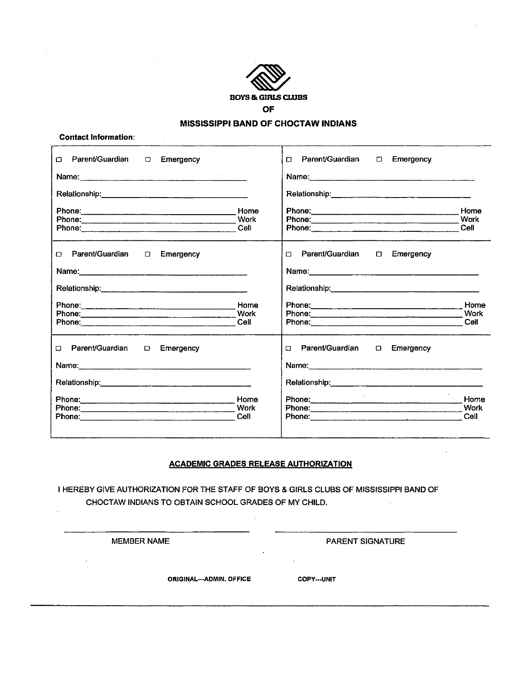

#### **MISSISSIPPI BAND OF CHOCTAW INDIANS**

|  | <b>Contact Information:</b> |
|--|-----------------------------|
|--|-----------------------------|

| Parent/Guardian<br>$\Box$<br>$\Box$<br>Emergency | Parent/Guardian D Emergency<br>$\Box$                                                                                                                     |                      |
|--------------------------------------------------|-----------------------------------------------------------------------------------------------------------------------------------------------------------|----------------------|
|                                                  |                                                                                                                                                           |                      |
|                                                  |                                                                                                                                                           |                      |
| Cell                                             | Phone: Home <b>Home</b> Home <b>Home</b><br>Phone: 2008 2009 2009 2009 2009 2010 2021 2032 2043 2052 2053 2054 2055 2056 2057 2058 2059 2059 2059 2059 20 | Work<br>Cell         |
| □ Parent/Guardian<br>□ Emergency                 | □ Parent/Guardian □ Emergency                                                                                                                             |                      |
|                                                  |                                                                                                                                                           |                      |
|                                                  |                                                                                                                                                           |                      |
| Home<br>Phone: Work<br>Cell                      | Phone: 2008 2010 2010 2010 2010 2010 2010 2011 2022 2023 2024 2022 2023 2024 2022 2023 2024 2022 2023 2024 20                                             | Home<br>Work<br>Cell |
| □ Parent/Guardian<br>Emergency<br>$\Box$         | $\sim$<br>п<br>Name: 1988 - 1988 - 1988 - 1988 - 1988 - 1988 - 1988 - 1988 - 1988 - 1988 - 1988 - 1988 - 1988 - 1988 - 1988 -                             |                      |
|                                                  |                                                                                                                                                           |                      |
| Home<br>Phone: Work                              |                                                                                                                                                           | Home<br>Work         |
| Phone: Cell                                      |                                                                                                                                                           | Cell                 |

#### **ACADEMIC GRADES RELEASE AUTHORIZATION**

I HEREBY GIVE AUTHORIZATION FOR THE STAFF OF BOYS & GIRLS CLUBS OF MISSISSIPPI BAND OF CHOCTAW INDIANS TO OBTAIN SCHOOL GRADES OF MY CHILD.

**MEMBER NAME** 

PARENT SIGNATURE

**ORIGINAL---ADMIN. OFFICE** 

**COPY---UNIT**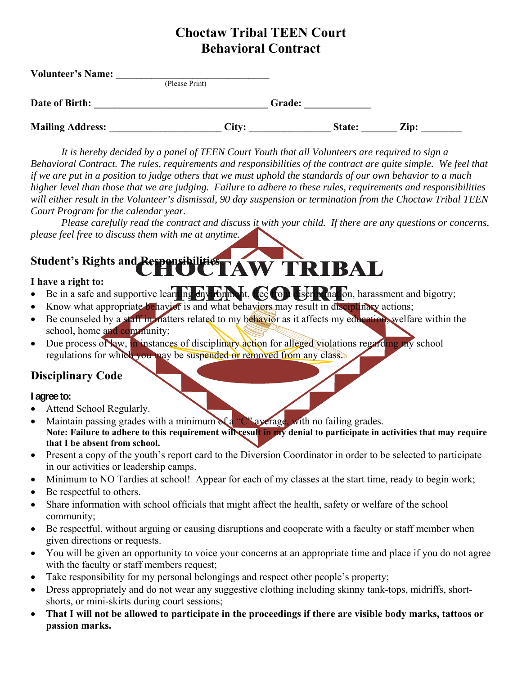## **Choctaw Tribal TEEN Court Behavioral Contract**

| <b>Volunteer's Name:</b> |                |       |        |        |      |  |
|--------------------------|----------------|-------|--------|--------|------|--|
|                          | (Please Print) |       |        |        |      |  |
| Date of Birth:           |                |       | Grade: |        |      |  |
| <b>Mailing Address:</b>  |                | City: |        | State: | Zip: |  |

*It is hereby decided by a panel of TEEN Court Youth that all Volunteers are required to sign a Behavioral Contract. The rules, requirements and responsibilities of the contract are quite simple. We feel that if we are put in a position to judge others that we must uphold the standards of our own behavior to a much higher level than those that we are judging. Failure to adhere to these rules, requirements and responsibilities will either result in the Volunteer's dismissal, 90 day suspension or termination from the Choctaw Tribal TEEN Court Program for the calendar year.* 

*Please carefully read the contract and discuss it with your child. If there are any questions or concerns, please feel free to discuss them with me at anytime.* 

# Student's Rights and Responsibilities **FAW TRIBAL**

#### **I have a right to:**

- Be in a safe and supportive learning  $\frac{1}{2}$  for  $\frac{1}{2}$  for  $\frac{1}{2}$  from discrimination, harassment and bigotry;
- Know what appropriate behavior is and what behaviors may result in disciplinary actions;
- Be counseled by a staff in matters related to my behavior as it affects my education, welfare within the school, home and community;
- Due process of Naw, in instances of disciplinary action for alleged violations regarding my school regulations for which you may be suspended or removed from any class.

### **Disciplinary Code**

**I agree to:** 

- Attend School Regularly.
- Maintain passing grades with a minimum of a "C" average, with no failing grades. **Note: Failure to adhere to this requirement will result in my denial to participate in activities that may require that I be absent from school.**
- Present a copy of the youth's report card to the Diversion Coordinator in order to be selected to participate in our activities or leadership camps.
- Minimum to NO Tardies at school! Appear for each of my classes at the start time, ready to begin work;
- Be respectful to others.
- Share information with school officials that might affect the health, safety or welfare of the school community;
- Be respectful, without arguing or causing disruptions and cooperate with a faculty or staff member when given directions or requests.
- You will be given an opportunity to voice your concerns at an appropriate time and place if you do not agree with the faculty or staff members request;
- Take responsibility for my personal belongings and respect other people's property;
- Dress appropriately and do not wear any suggestive clothing including skinny tank-tops, midriffs, shortshorts, or mini-skirts during court sessions;
- **That I will not be allowed to participate in the proceedings if there are visible body marks, tattoos or passion marks.**